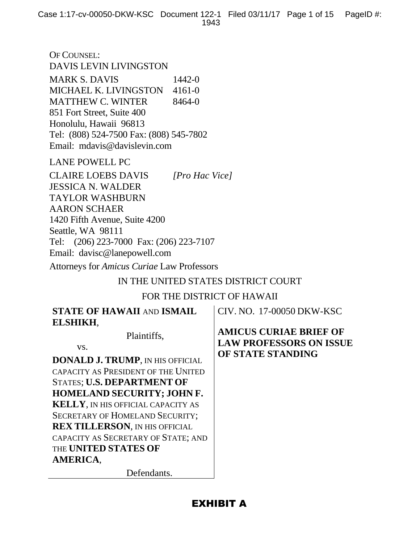OF COUNSEL: DAVIS LEVIN LIVINGSTON **MARK S. DAVIS** 1442-0 MICHAEL K. LIVINGSTON 4161-0 MATTHEW C. WINTER 8464-0 851 Fort Street, Suite 400 Honolulu, Hawaii 96813 Tel: (808) 524-7500 Fax: (808) 545-7802 Email: mdavis@davislevin.com

LANE POWELL PC

CLAIRE LOEBS DAVIS *[Pro Hac Vice]* JESSICA N. WALDER TAYLOR WASHBURN AARON SCHAER 1420 Fifth Avenue, Suite 4200 Seattle, WA 98111 Tel: (206) 223-7000 Fax: (206) 223-7107 Email: davisc@lanepowell.com

Attorneys for *Amicus Curiae* Law Professors

# IN THE UNITED STATES DISTRICT COURT

## FOR THE DISTRICT OF HAWAII

| <b>STATE OF HAWAII AND ISMAIL</b>         | CIV. NO. 17-00050 DKW-KSC                                       |
|-------------------------------------------|-----------------------------------------------------------------|
| ELSHIKH,                                  |                                                                 |
| Plaintiffs,<br>VS.                        | <b>AMICUS CURIAE BRIEF OF</b><br><b>LAW PROFESSORS ON ISSUE</b> |
| <b>DONALD J. TRUMP, IN HIS OFFICIAL</b>   | OF STATE STANDING                                               |
| CAPACITY AS PRESIDENT OF THE UNITED       |                                                                 |
| STATES; U.S. DEPARTMENT OF                |                                                                 |
| <b>HOMELAND SECURITY; JOHN F.</b>         |                                                                 |
| <b>KELLY, IN HIS OFFICIAL CAPACITY AS</b> |                                                                 |
| <b>SECRETARY OF HOMELAND SECURITY;</b>    |                                                                 |
| <b>REX TILLERSON, IN HIS OFFICIAL</b>     |                                                                 |
| CAPACITY AS SECRETARY OF STATE; AND       |                                                                 |
| THE <b>UNITED STATES OF</b>               |                                                                 |
| AMERICA,                                  |                                                                 |
| Defendants.                               |                                                                 |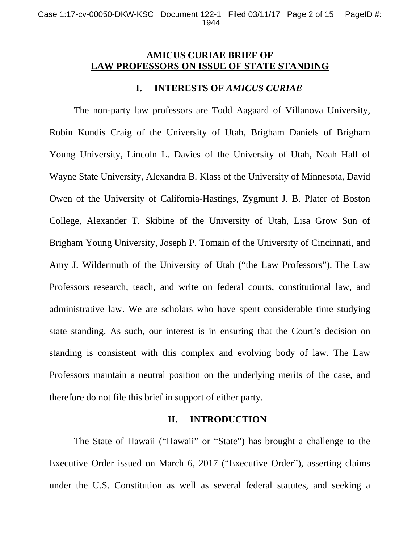# **AMICUS CURIAE BRIEF OF LAW PROFESSORS ON ISSUE OF STATE STANDING**

## **I. INTERESTS OF** *AMICUS CURIAE*

The non-party law professors are Todd Aagaard of Villanova University, Robin Kundis Craig of the University of Utah, Brigham Daniels of Brigham Young University, Lincoln L. Davies of the University of Utah, Noah Hall of Wayne State University, Alexandra B. Klass of the University of Minnesota, David Owen of the University of California-Hastings, Zygmunt J. B. Plater of Boston College, Alexander T. Skibine of the University of Utah, Lisa Grow Sun of Brigham Young University, Joseph P. Tomain of the University of Cincinnati, and Amy J. Wildermuth of the University of Utah ("the Law Professors"). The Law Professors research, teach, and write on federal courts, constitutional law, and administrative law. We are scholars who have spent considerable time studying state standing. As such, our interest is in ensuring that the Court's decision on standing is consistent with this complex and evolving body of law. The Law Professors maintain a neutral position on the underlying merits of the case, and therefore do not file this brief in support of either party.

## **II. INTRODUCTION**

The State of Hawaii ("Hawaii" or "State") has brought a challenge to the Executive Order issued on March 6, 2017 ("Executive Order"), asserting claims under the U.S. Constitution as well as several federal statutes, and seeking a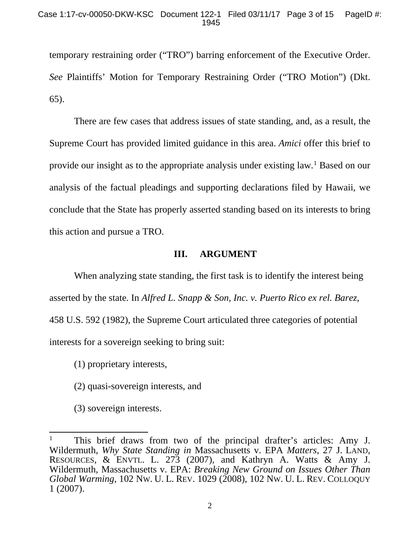temporary restraining order ("TRO") barring enforcement of the Executive Order. *See* Plaintiffs' Motion for Temporary Restraining Order ("TRO Motion") (Dkt. 65).

There are few cases that address issues of state standing, and, as a result, the Supreme Court has provided limited guidance in this area. *Amici* offer this brief to provide our insight as to the appropriate analysis under existing law.[1](#page-2-0) Based on our analysis of the factual pleadings and supporting declarations filed by Hawaii, we conclude that the State has properly asserted standing based on its interests to bring this action and pursue a TRO.

# **III. ARGUMENT**

When analyzing state standing, the first task is to identify the interest being asserted by the state. In *Alfred L. Snapp & Son, Inc. v. Puerto Rico ex rel. Barez*, 458 U.S. 592 (1982), the Supreme Court articulated three categories of potential interests for a sovereign seeking to bring suit:

(1) proprietary interests,

(2) quasi-sovereign interests, and

(3) sovereign interests.

<span id="page-2-0"></span> <sup>1</sup> This brief draws from two of the principal drafter's articles: Amy J. Wildermuth, *Why State Standing in* Massachusetts v. EPA *Matters*, 27 J. LAND, RESOURCES, & ENVTL. L. 273 (2007), and Kathryn A. Watts & Amy J. Wildermuth, Massachusetts v. EPA: *Breaking New Ground on Issues Other Than Global Warming*, 102 NW. U. L. REV. 1029 (2008), 102 NW. U. L. REV. COLLOQUY 1 (2007).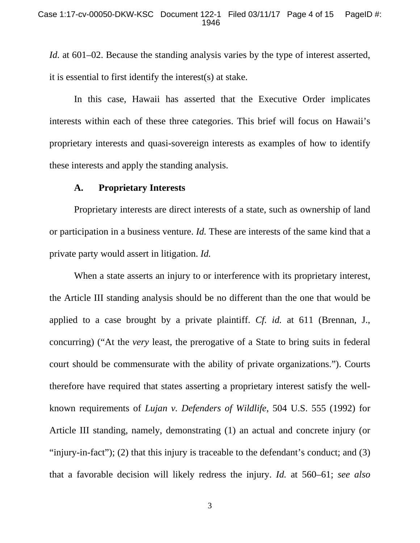*Id.* at 601–02. Because the standing analysis varies by the type of interest asserted, it is essential to first identify the interest(s) at stake.

In this case, Hawaii has asserted that the Executive Order implicates interests within each of these three categories. This brief will focus on Hawaii's proprietary interests and quasi-sovereign interests as examples of how to identify these interests and apply the standing analysis.

### **A. Proprietary Interests**

Proprietary interests are direct interests of a state, such as ownership of land or participation in a business venture. *Id.* These are interests of the same kind that a private party would assert in litigation. *Id.*

When a state asserts an injury to or interference with its proprietary interest, the Article III standing analysis should be no different than the one that would be applied to a case brought by a private plaintiff. *Cf. id.* at 611 (Brennan, J., concurring) ("At the *very* least, the prerogative of a State to bring suits in federal court should be commensurate with the ability of private organizations."). Courts therefore have required that states asserting a proprietary interest satisfy the wellknown requirements of *Lujan v. Defenders of Wildlife*, 504 U.S. 555 (1992) for Article III standing, namely, demonstrating (1) an actual and concrete injury (or "injury-in-fact"); (2) that this injury is traceable to the defendant's conduct; and (3) that a favorable decision will likely redress the injury. *Id.* at 560–61; *see also*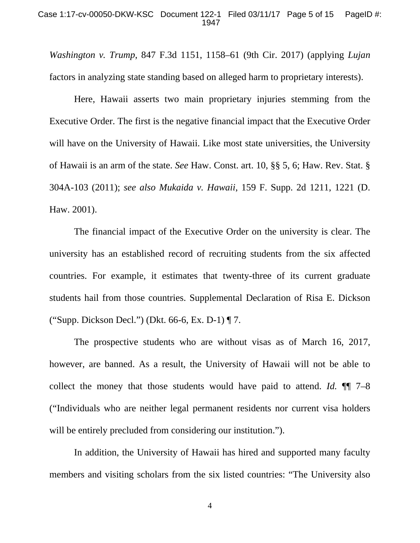*Washington v. Trump*, 847 F.3d 1151, 1158–61 (9th Cir. 2017) (applying *Lujan*  factors in analyzing state standing based on alleged harm to proprietary interests).

Here, Hawaii asserts two main proprietary injuries stemming from the Executive Order. The first is the negative financial impact that the Executive Order will have on the University of Hawaii. Like most state universities, the University of Hawaii is an arm of the state. *See* Haw. Const. art. 10, §§ 5, 6; Haw. Rev. Stat. § 304A-103 (2011); *see also Mukaida v. Hawaii*, 159 F. Supp. 2d 1211, 1221 (D. Haw. 2001).

The financial impact of the Executive Order on the university is clear. The university has an established record of recruiting students from the six affected countries. For example, it estimates that twenty-three of its current graduate students hail from those countries. Supplemental Declaration of Risa E. Dickson ("Supp. Dickson Decl.") (Dkt. 66-6, Ex. D-1) ¶ 7.

The prospective students who are without visas as of March 16, 2017, however, are banned. As a result, the University of Hawaii will not be able to collect the money that those students would have paid to attend. *Id.* ¶¶ 7–8 ("Individuals who are neither legal permanent residents nor current visa holders will be entirely precluded from considering our institution.").

In addition, the University of Hawaii has hired and supported many faculty members and visiting scholars from the six listed countries: "The University also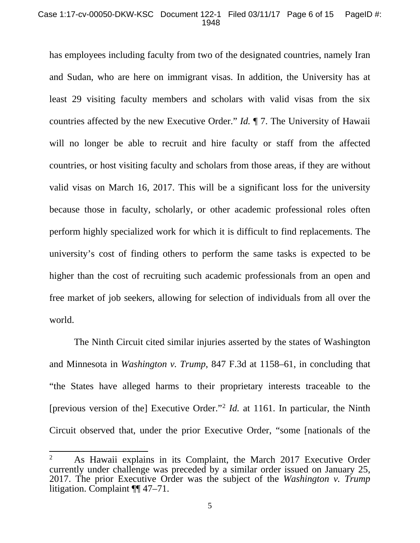has employees including faculty from two of the designated countries, namely Iran and Sudan, who are here on immigrant visas. In addition, the University has at least 29 visiting faculty members and scholars with valid visas from the six countries affected by the new Executive Order." *Id.* ¶ 7. The University of Hawaii will no longer be able to recruit and hire faculty or staff from the affected countries, or host visiting faculty and scholars from those areas, if they are without valid visas on March 16, 2017. This will be a significant loss for the university because those in faculty, scholarly, or other academic professional roles often perform highly specialized work for which it is difficult to find replacements. The university's cost of finding others to perform the same tasks is expected to be higher than the cost of recruiting such academic professionals from an open and free market of job seekers, allowing for selection of individuals from all over the world.

The Ninth Circuit cited similar injuries asserted by the states of Washington and Minnesota in *Washington v. Trump*, 847 F.3d at 1158–61, in concluding that "the States have alleged harms to their proprietary interests traceable to the [previous version of the] Executive Order."[2](#page-5-0) *Id.* at 1161. In particular, the Ninth Circuit observed that, under the prior Executive Order, "some [nationals of the

<span id="page-5-0"></span><sup>&</sup>lt;sup>2</sup> As Hawaii explains in its Complaint, the March 2017 Executive Order currently under challenge was preceded by a similar order issued on January 25, 2017. The prior Executive Order was the subject of the *Washington v. Trump* litigation. Complaint ¶¶ 47–71.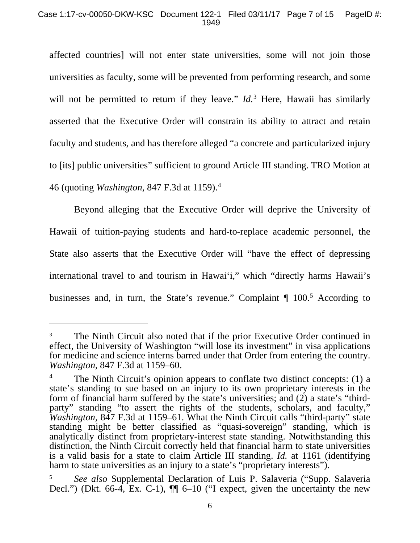### Case 1:17-cv-00050-DKW-KSC Document 122-1 Filed 03/11/17 Page 7 of 15 PageID #: 1949

affected countries] will not enter state universities, some will not join those universities as faculty, some will be prevented from performing research, and some will not be permitted to return if they leave." *Id.*<sup>[3](#page-6-0)</sup> Here, Hawaii has similarly asserted that the Executive Order will constrain its ability to attract and retain faculty and students, and has therefore alleged "a concrete and particularized injury to [its] public universities" sufficient to ground Article III standing. TRO Motion at 46 (quoting *Washington*, 847 F.3d at 1159).[4](#page-6-1)

Beyond alleging that the Executive Order will deprive the University of Hawaii of tuition-paying students and hard-to-replace academic personnel, the State also asserts that the Executive Order will "have the effect of depressing international travel to and tourism in Hawai'i," which "directly harms Hawaii's businesses and, in turn, the State's revenue." Complaint ¶ 100.[5](#page-6-2) According to

 $\overline{a}$ 

<span id="page-6-0"></span>The Ninth Circuit also noted that if the prior Executive Order continued in effect, the University of Washington "will lose its investment" in visa applications for medicine and science interns barred under that Order from entering the country. *Washington*, 847 F.3d at 1159–60.

<span id="page-6-1"></span><sup>&</sup>lt;sup>4</sup> The Ninth Circuit's opinion appears to conflate two distinct concepts: (1) a state's standing to sue based on an injury to its own proprietary interests in the form of financial harm suffered by the state's universities; and (2) a state's "thirdparty" standing "to assert the rights of the students, scholars, and faculty," *Washington,* 847 F.3d at 1159–61. What the Ninth Circuit calls "third-party" state standing might be better classified as "quasi-sovereign" standing, which is analytically distinct from proprietary-interest state standing. Notwithstanding this distinction, the Ninth Circuit correctly held that financial harm to state universities is a valid basis for a state to claim Article III standing. *Id.* at 1161 (identifying harm to state universities as an injury to a state's "proprietary interests").

<span id="page-6-2"></span><sup>5</sup> *See also* Supplemental Declaration of Luis P. Salaveria ("Supp. Salaveria Decl.") (Dkt. 66-4, Ex. C-1),  $\P\P$  6–10 ("I expect, given the uncertainty the new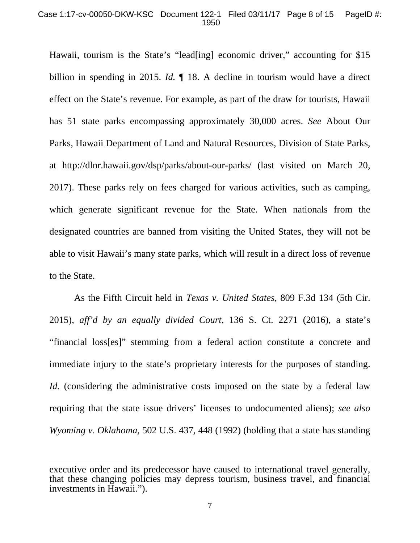### Case 1:17-cv-00050-DKW-KSC Document 122-1 Filed 03/11/17 Page 8 of 15 PageID #: 1950

Hawaii, tourism is the State's "lead[ing] economic driver," accounting for \$15 billion in spending in 2015. *Id.*  $\parallel$  18. A decline in tourism would have a direct effect on the State's revenue. For example, as part of the draw for tourists, Hawaii has 51 state parks encompassing approximately 30,000 acres. *See* About Our Parks, Hawaii Department of Land and Natural Resources, Division of State Parks, at http://dlnr.hawaii.gov/dsp/parks/about-our-parks/ (last visited on March 20, 2017). These parks rely on fees charged for various activities, such as camping, which generate significant revenue for the State. When nationals from the designated countries are banned from visiting the United States, they will not be able to visit Hawaii's many state parks, which will result in a direct loss of revenue to the State.

As the Fifth Circuit held in *Texas v. United States*, 809 F.3d 134 (5th Cir. 2015), *aff'd by an equally divided Court*, 136 S. Ct. 2271 (2016), a state's "financial loss[es]" stemming from a federal action constitute a concrete and immediate injury to the state's proprietary interests for the purposes of standing. *Id.* (considering the administrative costs imposed on the state by a federal law requiring that the state issue drivers' licenses to undocumented aliens); *see also Wyoming v. Oklahoma,* 502 U.S. 437, 448 (1992) (holding that a state has standing

 $\overline{a}$ 

executive order and its predecessor have caused to international travel generally, that these changing policies may depress tourism, business travel, and financial investments in Hawaii.").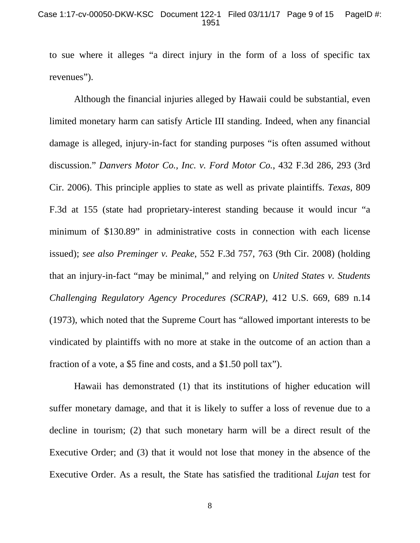### Case 1:17-cv-00050-DKW-KSC Document 122-1 Filed 03/11/17 Page 9 of 15 PageID #: 1951

to sue where it alleges "a direct injury in the form of a loss of specific tax revenues").

Although the financial injuries alleged by Hawaii could be substantial, even limited monetary harm can satisfy Article III standing. Indeed, when any financial damage is alleged, injury-in-fact for standing purposes "is often assumed without discussion." *Danvers Motor Co., Inc. v. Ford Motor Co.*, 432 F.3d 286, 293 (3rd Cir. 2006). This principle applies to state as well as private plaintiffs. *Texas,* 809 F.3d at 155 (state had proprietary-interest standing because it would incur "a minimum of \$130.89" in administrative costs in connection with each license issued); *see also Preminger v. Peake*, 552 F.3d 757, 763 (9th Cir. 2008) (holding that an injury-in-fact "may be minimal," and relying on *United States v. Students Challenging Regulatory Agency Procedures (SCRAP)*, 412 U.S. 669, 689 n.14 (1973), which noted that the Supreme Court has "allowed important interests to be vindicated by plaintiffs with no more at stake in the outcome of an action than a fraction of a vote, a \$5 fine and costs, and a \$1.50 poll tax").

Hawaii has demonstrated (1) that its institutions of higher education will suffer monetary damage, and that it is likely to suffer a loss of revenue due to a decline in tourism; (2) that such monetary harm will be a direct result of the Executive Order; and (3) that it would not lose that money in the absence of the Executive Order. As a result, the State has satisfied the traditional *Lujan* test for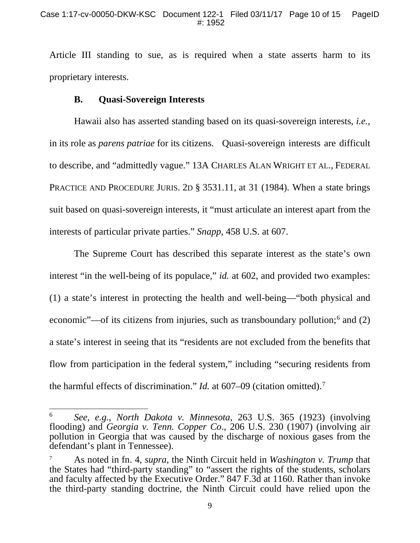Article III standing to sue, as is required when a state asserts harm to its proprietary interests.

## **B. Quasi-Sovereign Interests**

Hawaii also has asserted standing based on its quasi-sovereign interests, *i.e.*, in its role as *parens patriae* for its citizens. Quasi-sovereign interests are difficult to describe, and "admittedly vague." 13A CHARLES ALAN WRIGHT ET AL., FEDERAL PRACTICE AND PROCEDURE JURIS. 2D § 3531.11, at 31 (1984). When a state brings suit based on quasi-sovereign interests, it "must articulate an interest apart from the interests of particular private parties." *Snapp*, 458 U.S. at 607.

The Supreme Court has described this separate interest as the state's own interest "in the well-being of its populace," *id.* at 602, and provided two examples: (1) a state's interest in protecting the health and well-being—"both physical and economic"—of its citizens from injuries, such as transboundary pollution; $<sup>6</sup>$  $<sup>6</sup>$  $<sup>6</sup>$  and (2)</sup> a state's interest in seeing that its "residents are not excluded from the benefits that flow from participation in the federal system," including "securing residents from the harmful effects of discrimination." *Id.* at 607–09 (citation omitted).[7](#page-9-1)

<span id="page-9-0"></span> <sup>6</sup> *See, e.g.*, *North Dakota v. Minnesota*, 263 U.S. 365 (1923) (involving flooding) and *Georgia v. Tenn. Copper Co*., 206 U.S. 230 (1907) (involving air pollution in Georgia that was caused by the discharge of noxious gases from the defendant's plant in Tennessee).

<span id="page-9-1"></span><sup>7</sup> As noted in fn. 4, *supra*, the Ninth Circuit held in *Washington v. Trump* that the States had "third-party standing" to "assert the rights of the students, scholars and faculty affected by the Executive Order." 847 F.3d at 1160. Rather than invoke the third-party standing doctrine, the Ninth Circuit could have relied upon the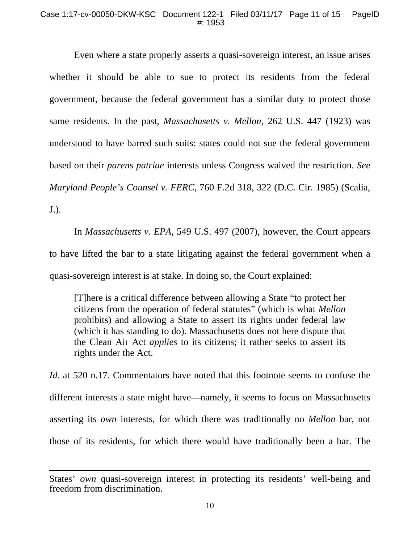Even where a state properly asserts a quasi-sovereign interest, an issue arises whether it should be able to sue to protect its residents from the federal government, because the federal government has a similar duty to protect those same residents. In the past, *Massachusetts v. Mellon*, 262 U.S. 447 (1923) was understood to have barred such suits: states could not sue the federal government based on their *parens patriae* interests unless Congress waived the restriction. *See Maryland People's Counsel v. FERC*, 760 F.2d 318, 322 (D.C. Cir. 1985) (Scalia, J.).

In *Massachusetts v. EPA*, 549 U.S. 497 (2007), however, the Court appears to have lifted the bar to a state litigating against the federal government when a quasi-sovereign interest is at stake. In doing so, the Court explained:

[T]here is a critical difference between allowing a State "to protect her citizens from the operation of federal statutes" (which is what *Mellon* prohibits) and allowing a State to assert its rights under federal law (which it has standing to do). Massachusetts does not here dispute that the Clean Air Act *applies* to its citizens; it rather seeks to assert its rights under the Act.

*Id.* at 520 n.17. Commentators have noted that this footnote seems to confuse the different interests a state might have—namely, it seems to focus on Massachusetts asserting its *own* interests, for which there was traditionally no *Mellon* bar, not those of its residents, for which there would have traditionally been a bar. The

 $\overline{a}$ 

States' *own* quasi-sovereign interest in protecting its residents' well-being and freedom from discrimination.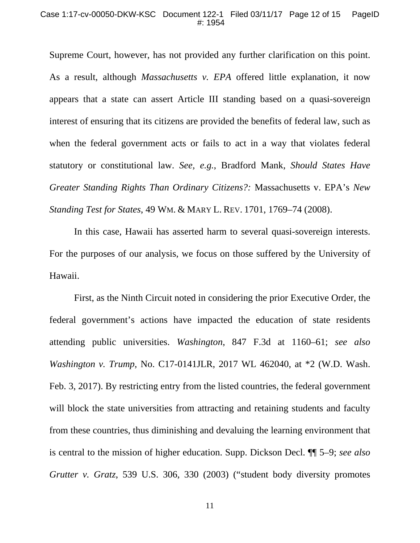#### Case 1:17-cv-00050-DKW-KSC Document 122-1 Filed 03/11/17 Page 12 of 15 PageID #: 1954

Supreme Court, however, has not provided any further clarification on this point. As a result, although *Massachusetts v. EPA* offered little explanation, it now appears that a state can assert Article III standing based on a quasi-sovereign interest of ensuring that its citizens are provided the benefits of federal law, such as when the federal government acts or fails to act in a way that violates federal statutory or constitutional law. *See, e.g.*, Bradford Mank, *Should States Have Greater Standing Rights Than Ordinary Citizens?:* Massachusetts v. EPA's *New Standing Test for States*, 49 WM. & MARY L. REV. 1701, 1769–74 (2008).

In this case, Hawaii has asserted harm to several quasi-sovereign interests. For the purposes of our analysis, we focus on those suffered by the University of Hawaii.

First, as the Ninth Circuit noted in considering the prior Executive Order, the federal government's actions have impacted the education of state residents attending public universities. *Washington*, 847 F.3d at 1160–61; *see also Washington v. Trump*, No. C17-0141JLR, 2017 WL 462040, at \*2 (W.D. Wash. Feb. 3, 2017). By restricting entry from the listed countries, the federal government will block the state universities from attracting and retaining students and faculty from these countries, thus diminishing and devaluing the learning environment that is central to the mission of higher education. Supp. Dickson Decl. ¶¶ 5–9; *see also Grutter v. Gratz*, 539 U.S. 306, 330 (2003) ("student body diversity promotes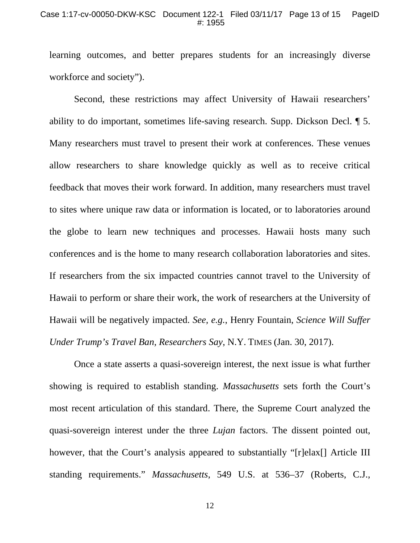#### Case 1:17-cv-00050-DKW-KSC Document 122-1 Filed 03/11/17 Page 13 of 15 PageID #: 1955

learning outcomes, and better prepares students for an increasingly diverse workforce and society").

Second, these restrictions may affect University of Hawaii researchers' ability to do important, sometimes life-saving research. Supp. Dickson Decl. ¶ 5. Many researchers must travel to present their work at conferences. These venues allow researchers to share knowledge quickly as well as to receive critical feedback that moves their work forward. In addition, many researchers must travel to sites where unique raw data or information is located, or to laboratories around the globe to learn new techniques and processes. Hawaii hosts many such conferences and is the home to many research collaboration laboratories and sites. If researchers from the six impacted countries cannot travel to the University of Hawaii to perform or share their work, the work of researchers at the University of Hawaii will be negatively impacted. *See, e.g.*, Henry Fountain, *Science Will Suffer Under Trump's Travel Ban, Researchers Say*, N.Y. TIMES (Jan. 30, 2017).

Once a state asserts a quasi-sovereign interest, the next issue is what further showing is required to establish standing. *Massachusetts* sets forth the Court's most recent articulation of this standard. There, the Supreme Court analyzed the quasi-sovereign interest under the three *Lujan* factors. The dissent pointed out, however, that the Court's analysis appeared to substantially "[r]elax[] Article III standing requirements." *Massachusetts*, 549 U.S. at 536–37 (Roberts, C.J.,

12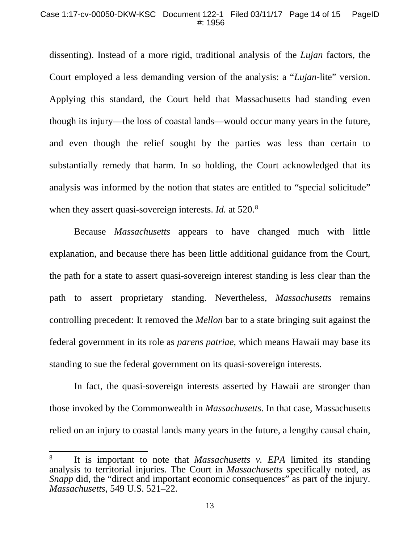## Case 1:17-cv-00050-DKW-KSC Document 122-1 Filed 03/11/17 Page 14 of 15 PageID #: 1956

dissenting). Instead of a more rigid, traditional analysis of the *Lujan* factors, the Court employed a less demanding version of the analysis: a "*Lujan*-lite" version. Applying this standard, the Court held that Massachusetts had standing even though its injury—the loss of coastal lands—would occur many years in the future, and even though the relief sought by the parties was less than certain to substantially remedy that harm. In so holding, the Court acknowledged that its analysis was informed by the notion that states are entitled to "special solicitude" when they assert quasi-sovereign interests. *Id.* at 520.<sup>[8](#page-13-0)</sup>

Because *Massachusetts* appears to have changed much with little explanation, and because there has been little additional guidance from the Court, the path for a state to assert quasi-sovereign interest standing is less clear than the path to assert proprietary standing. Nevertheless, *Massachusetts* remains controlling precedent: It removed the *Mellon* bar to a state bringing suit against the federal government in its role as *parens patriae*, which means Hawaii may base its standing to sue the federal government on its quasi-sovereign interests.

In fact, the quasi-sovereign interests asserted by Hawaii are stronger than those invoked by the Commonwealth in *Massachusetts*. In that case, Massachusetts relied on an injury to coastal lands many years in the future, a lengthy causal chain,

<span id="page-13-0"></span> <sup>8</sup> It is important to note that *Massachusetts v. EPA* limited its standing analysis to territorial injuries. The Court in *Massachusetts* specifically noted, as *Snapp* did, the "direct and important economic consequences" as part of the injury. *Massachusetts*, 549 U.S. 521–22.